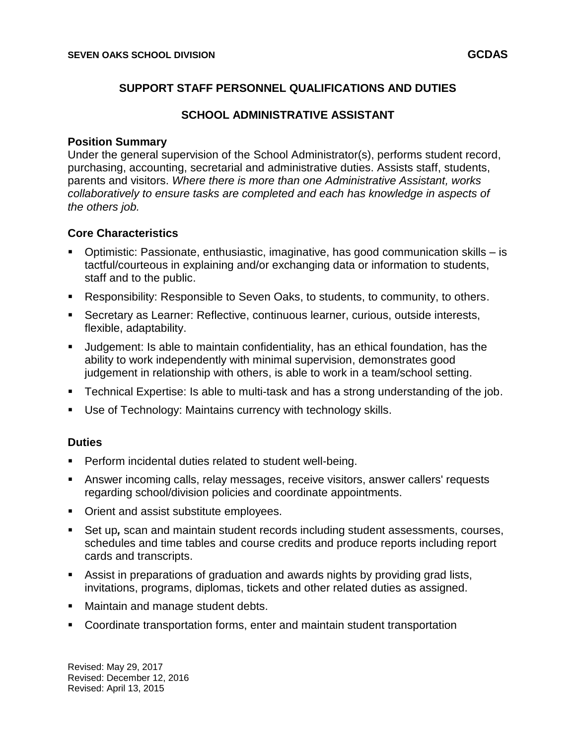## **SUPPORT STAFF PERSONNEL QUALIFICATIONS AND DUTIES**

## **SCHOOL ADMINISTRATIVE ASSISTANT**

#### **Position Summary**

Under the general supervision of the School Administrator(s), performs student record, purchasing, accounting, secretarial and administrative duties. Assists staff, students, parents and visitors. *Where there is more than one Administrative Assistant, works collaboratively to ensure tasks are completed and each has knowledge in aspects of the others job.*

### **Core Characteristics**

- Optimistic: Passionate, enthusiastic, imaginative, has good communication skills is tactful/courteous in explaining and/or exchanging data or information to students, staff and to the public.
- Responsibility: Responsible to Seven Oaks, to students, to community, to others.
- Secretary as Learner: Reflective, continuous learner, curious, outside interests, flexible, adaptability.
- Judgement: Is able to maintain confidentiality, has an ethical foundation, has the ability to work independently with minimal supervision, demonstrates good judgement in relationship with others, is able to work in a team/school setting.
- Technical Expertise: Is able to multi-task and has a strong understanding of the job.
- Use of Technology: Maintains currency with technology skills.

### **Duties**

- Perform incidental duties related to student well-being.
- Answer incoming calls, relay messages, receive visitors, answer callers' requests regarding school/division policies and coordinate appointments.
- **Orient and assist substitute employees.**
- Set up*,* scan and maintain student records including student assessments, courses, schedules and time tables and course credits and produce reports including report cards and transcripts.
- Assist in preparations of graduation and awards nights by providing grad lists, invitations, programs, diplomas, tickets and other related duties as assigned.
- **Maintain and manage student debts.**
- Coordinate transportation forms, enter and maintain student transportation

Revised: May 29, 2017 Revised: December 12, 2016 Revised: April 13, 2015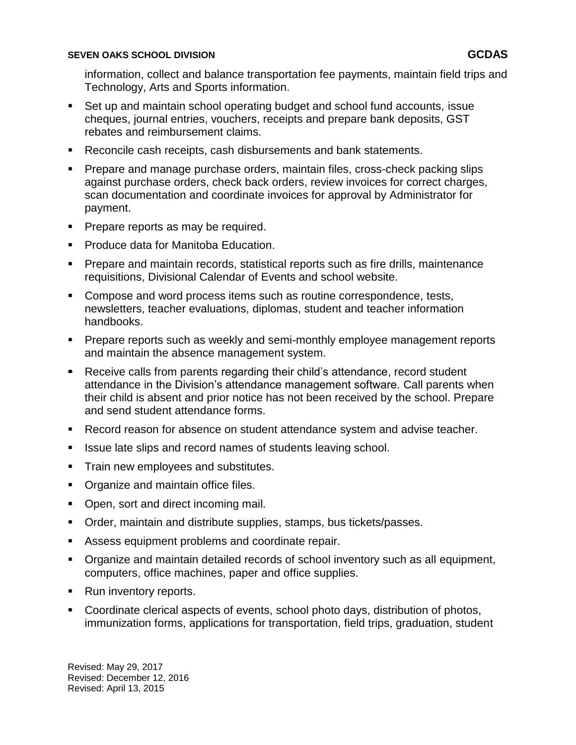#### **SEVEN OAKS SCHOOL DIVISION GCDAS**

information, collect and balance transportation fee payments, maintain field trips and Technology, Arts and Sports information.

- Set up and maintain school operating budget and school fund accounts, issue cheques, journal entries, vouchers, receipts and prepare bank deposits, GST rebates and reimbursement claims.
- Reconcile cash receipts, cash disbursements and bank statements.
- **Prepare and manage purchase orders, maintain files, cross-check packing slips** against purchase orders, check back orders, review invoices for correct charges, scan documentation and coordinate invoices for approval by Administrator for payment.
- **Prepare reports as may be required.**
- **Produce data for Manitoba Education.**
- **Prepare and maintain records, statistical reports such as fire drills, maintenance** requisitions, Divisional Calendar of Events and school website.
- Compose and word process items such as routine correspondence, tests, newsletters, teacher evaluations, diplomas, student and teacher information handbooks.
- **Prepare reports such as weekly and semi-monthly employee management reports** and maintain the absence management system.
- **Receive calls from parents regarding their child's attendance, record student** attendance in the Division's attendance management software. Call parents when their child is absent and prior notice has not been received by the school. Prepare and send student attendance forms.
- **Record reason for absence on student attendance system and advise teacher.**
- **If Its and record names of students leaving school.**
- **Train new employees and substitutes.**
- Organize and maintain office files.
- Open, sort and direct incoming mail.
- **Order, maintain and distribute supplies, stamps, bus tickets/passes.**
- Assess equipment problems and coordinate repair.
- Organize and maintain detailed records of school inventory such as all equipment, computers, office machines, paper and office supplies.
- Run inventory reports.
- Coordinate clerical aspects of events, school photo days, distribution of photos, immunization forms, applications for transportation, field trips, graduation, student

Revised: May 29, 2017 Revised: December 12, 2016 Revised: April 13, 2015